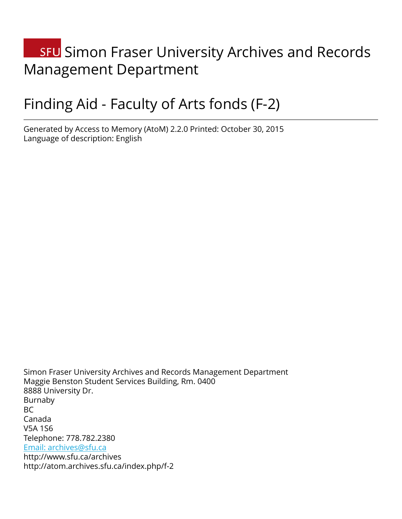# **SFU** Simon Fraser University Archives and Records Management Department

# Finding Aid - Faculty of Arts fonds (F-2)

Generated by Access to Memory (AtoM) 2.2.0 Printed: October 30, 2015 Language of description: English

Simon Fraser University Archives and Records Management Department Maggie Benston Student Services Building, Rm. 0400 8888 University Dr. Burnaby BC Canada V5A 1S6 Telephone: 778.782.2380 [Email: archives@sfu.ca](mailto:Email: archives@sfu.ca) http://www.sfu.ca/archives http://atom.archives.sfu.ca/index.php/f-2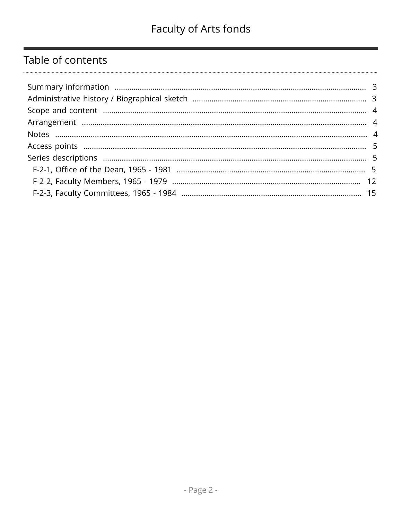## Table of contents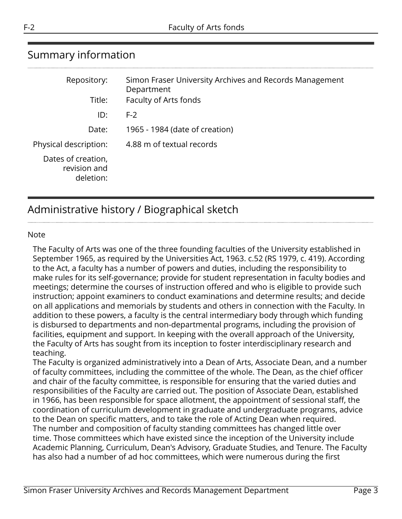## <span id="page-2-0"></span>Summary information

| Repository:                                     | Simon Fraser University Archives and Records Management<br>Department |
|-------------------------------------------------|-----------------------------------------------------------------------|
| Title:                                          | Faculty of Arts fonds                                                 |
| ID:                                             | $F-2$                                                                 |
| Date:                                           | 1965 - 1984 (date of creation)                                        |
| Physical description:                           | 4.88 m of textual records                                             |
| Dates of creation,<br>revision and<br>deletion: |                                                                       |

## <span id="page-2-1"></span>Administrative history / Biographical sketch

#### Note

The Faculty of Arts was one of the three founding faculties of the University established in September 1965, as required by the Universities Act, 1963. c.52 (RS 1979, c. 419). According to the Act, a faculty has a number of powers and duties, including the responsibility to make rules for its self-governance; provide for student representation in faculty bodies and meetings; determine the courses of instruction offered and who is eligible to provide such instruction; appoint examiners to conduct examinations and determine results; and decide on all applications and memorials by students and others in connection with the Faculty. In addition to these powers, a faculty is the central intermediary body through which funding is disbursed to departments and non-departmental programs, including the provision of facilities, equipment and support. In keeping with the overall approach of the University, the Faculty of Arts has sought from its inception to foster interdisciplinary research and teaching.

The Faculty is organized administratively into a Dean of Arts, Associate Dean, and a number of faculty committees, including the committee of the whole. The Dean, as the chief officer and chair of the faculty committee, is responsible for ensuring that the varied duties and responsibilities of the Faculty are carried out. The position of Associate Dean, established in 1966, has been responsible for space allotment, the appointment of sessional staff, the coordination of curriculum development in graduate and undergraduate programs, advice to the Dean on specific matters, and to take the role of Acting Dean when required. The number and composition of faculty standing committees has changed little over time. Those committees which have existed since the inception of the University include Academic Planning, Curriculum, Dean's Advisory, Graduate Studies, and Tenure. The Faculty has also had a number of ad hoc committees, which were numerous during the first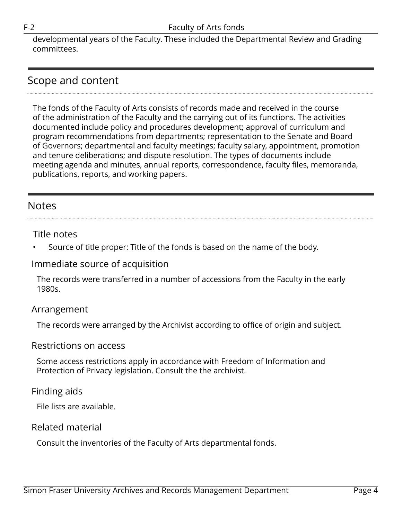developmental years of the Faculty. These included the Departmental Review and Grading committees.

## <span id="page-3-0"></span>Scope and content

The fonds of the Faculty of Arts consists of records made and received in the course of the administration of the Faculty and the carrying out of its functions. The activities documented include policy and procedures development; approval of curriculum and program recommendations from departments; representation to the Senate and Board of Governors; departmental and faculty meetings; faculty salary, appointment, promotion and tenure deliberations; and dispute resolution. The types of documents include meeting agenda and minutes, annual reports, correspondence, faculty files, memoranda, publications, reports, and working papers.

## <span id="page-3-2"></span>Notes

#### Title notes

Source of title proper: Title of the fonds is based on the name of the body.

#### Immediate source of acquisition

The records were transferred in a number of accessions from the Faculty in the early 1980s.

#### <span id="page-3-1"></span>Arrangement

The records were arranged by the Archivist according to office of origin and subject.

#### Restrictions on access

Some access restrictions apply in accordance with Freedom of Information and Protection of Privacy legislation. Consult the the archivist.

#### Finding aids

File lists are available.

#### Related material

Consult the inventories of the Faculty of Arts departmental fonds.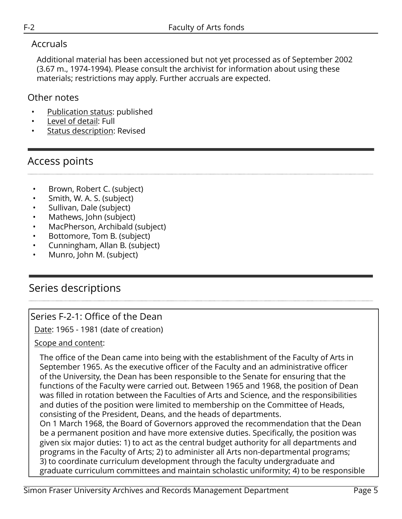### Accruals

Additional material has been accessioned but not yet processed as of September 2002 (3.67 m., 1974-1994). Please consult the archivist for information about using these materials; restrictions may apply. Further accruals are expected.

### Other notes

- Publication status: published
- Level of detail: Full
- Status description: Revised

## <span id="page-4-0"></span>Access points

- Brown, Robert C. (subject)
- Smith, W. A. S. (subject)
- Sullivan, Dale (subject)
- Mathews, John (subject)
- MacPherson, Archibald (subject)
- Bottomore, Tom B. (subject)
- Cunningham, Allan B. (subject)
- Munro, John M. (subject)

## <span id="page-4-1"></span>Series descriptions

## <span id="page-4-2"></span>Series F-2-1: Office of the Dean

Date: 1965 - 1981 (date of creation)

#### Scope and content:

The office of the Dean came into being with the establishment of the Faculty of Arts in September 1965. As the executive officer of the Faculty and an administrative officer of the University, the Dean has been responsible to the Senate for ensuring that the functions of the Faculty were carried out. Between 1965 and 1968, the position of Dean was filled in rotation between the Faculties of Arts and Science, and the responsibilities and duties of the position were limited to membership on the Committee of Heads, consisting of the President, Deans, and the heads of departments.

On 1 March 1968, the Board of Governors approved the recommendation that the Dean be a permanent position and have more extensive duties. Specifically, the position was given six major duties: 1) to act as the central budget authority for all departments and programs in the Faculty of Arts; 2) to administer all Arts non-departmental programs; 3) to coordinate curriculum development through the faculty undergraduate and graduate curriculum committees and maintain scholastic uniformity; 4) to be responsible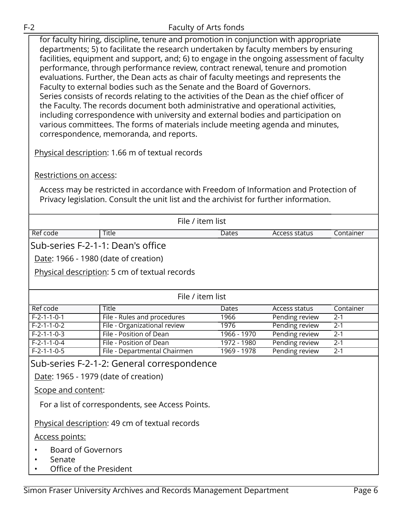for faculty hiring, discipline, tenure and promotion in conjunction with appropriate departments; 5) to facilitate the research undertaken by faculty members by ensuring facilities, equipment and support, and; 6) to engage in the ongoing assessment of faculty performance, through performance review, contract renewal, tenure and promotion evaluations. Further, the Dean acts as chair of faculty meetings and represents the Faculty to external bodies such as the Senate and the Board of Governors. Series consists of records relating to the activities of the Dean as the chief officer of the Faculty. The records document both administrative and operational activities, including correspondence with university and external bodies and participation on various committees. The forms of materials include meeting agenda and minutes, correspondence, memoranda, and reports.

Physical description: 1.66 m of textual records

Restrictions on access:

Access may be restricted in accordance with Freedom of Information and Protection of Privacy legislation. Consult the unit list and the archivist for further information.

|                                   | File / item list                                 |             |                |           |  |  |
|-----------------------------------|--------------------------------------------------|-------------|----------------|-----------|--|--|
| Ref code                          | <b>Title</b>                                     | Dates       | Access status  | Container |  |  |
| Sub-series F-2-1-1: Dean's office |                                                  |             |                |           |  |  |
|                                   | Date: 1966 - 1980 (date of creation)             |             |                |           |  |  |
|                                   | Physical description: 5 cm of textual records    |             |                |           |  |  |
|                                   |                                                  |             |                |           |  |  |
|                                   | File / item list                                 |             |                |           |  |  |
| Ref code                          | Title                                            | Dates       | Access status  | Container |  |  |
| $F-2-1-1-0-1$                     | File - Rules and procedures                      | 1966        | Pending review | $2 - 1$   |  |  |
| $F-2-1-1-0-2$                     | File - Organizational review                     | 1976        | Pending review | $2 - 1$   |  |  |
| $F-2-1-1-0-3$                     | File - Position of Dean                          | 1966 - 1970 | Pending review | $2 - 1$   |  |  |
| $F-2-1-1-0-4$                     | File - Position of Dean                          | 1972 - 1980 | Pending review | $2 - 1$   |  |  |
| $F-2-1-1-0-5$                     | File - Departmental Chairmen                     | 1969 - 1978 | Pending review | $2 - 1$   |  |  |
|                                   | Sub-series F-2-1-2: General correspondence       |             |                |           |  |  |
|                                   | Date: 1965 - 1979 (date of creation)             |             |                |           |  |  |
| Scope and content:                |                                                  |             |                |           |  |  |
|                                   | For a list of correspondents, see Access Points. |             |                |           |  |  |
|                                   |                                                  |             |                |           |  |  |
|                                   | Physical description: 49 cm of textual records   |             |                |           |  |  |
| <u>Access points:</u>             |                                                  |             |                |           |  |  |
|                                   | <b>Board of Governors</b>                        |             |                |           |  |  |
| Senate                            |                                                  |             |                |           |  |  |
|                                   | Office of the President                          |             |                |           |  |  |
|                                   |                                                  |             |                |           |  |  |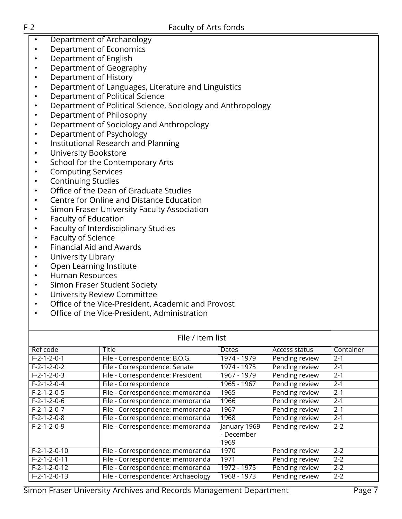- Department of Archaeology
- Department of Economics
- Department of English
- Department of Geography
- Department of History
- Department of Languages, Literature and Linguistics
- Department of Political Science
- Department of Political Science, Sociology and Anthropology
- Department of Philosophy
- Department of Sociology and Anthropology
- Department of Psychology
- Institutional Research and Planning
- University Bookstore
- School for the Contemporary Arts
- Computing Services
- Continuing Studies
- Office of the Dean of Graduate Studies
- Centre for Online and Distance Education
- Simon Fraser University Faculty Association
- Faculty of Education
- Faculty of Interdisciplinary Studies
- Faculty of Science
- Financial Aid and Awards
- University Library
- Open Learning Institute
- Human Resources
- Simon Fraser Student Society
- University Review Committee
- Office of the Vice-President, Academic and Provost
- Office of the Vice-President, Administration

| File / item list        |                                    |                                    |                |           |
|-------------------------|------------------------------------|------------------------------------|----------------|-----------|
| Ref code                | Title                              | Dates                              | Access status  | Container |
| $F - 2 - 1 - 2 - 0 - 1$ | File - Correspondence: B.O.G.      | 1974 - 1979                        | Pending review | $2 - 1$   |
| $F-2-1-2-0-2$           | File - Correspondence: Senate      | 1974 - 1975                        | Pending review | $2 - 1$   |
| $F-2-1-2-0-3$           | File - Correspondence: President   | 1967 - 1979                        | Pending review | $2 - 1$   |
| $F-2-1-2-0-4$           | File - Correspondence              | 1965 - 1967                        | Pending review | $2 - 1$   |
| $F-2-1-2-0-5$           | File - Correspondence: memoranda   | 1965                               | Pending review | $2 - 1$   |
| $F-2-1-2-0-6$           | File - Correspondence: memoranda   | 1966                               | Pending review | $2 - 1$   |
| $F-2-1-2-0-7$           | File - Correspondence: memoranda   | 1967                               | Pending review | $2 - 1$   |
| $F-2-1-2-0-8$           | File - Correspondence: memoranda   | 1968                               | Pending review | $2 - 1$   |
| $F-2-1-2-0-9$           | File - Correspondence: memoranda   | January 1969<br>- December<br>1969 | Pending review | $2 - 2$   |
| $F-2-1-2-0-10$          | File - Correspondence: memoranda   | 1970                               | Pending review | $2 - 2$   |
| $F-2-1-2-0-11$          | File - Correspondence: memoranda   | 1971                               | Pending review | $2 - 2$   |
| $F-2-1-2-0-12$          | File - Correspondence: memoranda   | 1972 - 1975                        | Pending review | $2 - 2$   |
| $F-2-1-2-0-13$          | File - Correspondence: Archaeology | 1968 - 1973                        | Pending review | $2 - 2$   |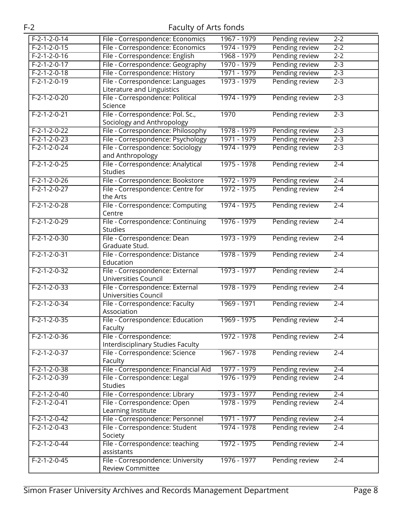| $F-2-1-2-0-14$ | File - Correspondence: Economics                        | 1967 - 1979 | Pending review | $2 - 2$ |
|----------------|---------------------------------------------------------|-------------|----------------|---------|
| $F-2-1-2-0-15$ | File - Correspondence: Economics                        | 1974 - 1979 | Pending review | $2-2$   |
| $F-2-1-2-0-16$ | File - Correspondence: English                          | 1968 - 1979 | Pending review | $2 - 2$ |
| $F-2-1-2-0-17$ | File - Correspondence: Geography                        | 1970 - 1979 | Pending review | $2 - 3$ |
| $F-2-1-2-0-18$ | File - Correspondence: History                          | 1971 - 1979 | Pending review | $2 - 3$ |
| $F-2-1-2-0-19$ | File - Correspondence: Languages                        | 1973 - 1979 | Pending review | $2 - 3$ |
|                | Literature and Linguistics                              |             |                |         |
| $F-2-1-2-0-20$ | File - Correspondence: Political                        | 1974 - 1979 | Pending review | $2 - 3$ |
|                | Science                                                 |             |                |         |
| $F-2-1-2-0-21$ | File - Correspondence: Pol. Sc.,                        | 1970        | Pending review | $2 - 3$ |
|                | Sociology and Anthropology                              |             |                |         |
| $F-2-1-2-0-22$ | File - Correspondence: Philosophy                       | 1978 - 1979 | Pending review | $2 - 3$ |
| $F-2-1-2-0-23$ | File - Correspondence: Psychology                       | 1971 - 1979 | Pending review | $2 - 3$ |
| $F-2-1-2-0-24$ | File - Correspondence: Sociology                        | 1974 - 1979 | Pending review | $2 - 3$ |
|                | and Anthropology                                        |             |                |         |
| $F-2-1-2-0-25$ | File - Correspondence: Analytical                       | 1975 - 1978 | Pending review | $2 - 4$ |
|                | <b>Studies</b>                                          |             |                |         |
| $F-2-1-2-0-26$ | File - Correspondence: Bookstore                        | 1972 - 1979 | Pending review | $2 - 4$ |
| $F-2-1-2-0-27$ | File - Correspondence: Centre for                       | 1972 - 1975 | Pending review | $2 - 4$ |
|                | the Arts                                                |             |                |         |
| $F-2-1-2-0-28$ | File - Correspondence: Computing                        | 1974 - 1975 | Pending review | $2 - 4$ |
|                | Centre                                                  |             |                |         |
| $F-2-1-2-0-29$ | File - Correspondence: Continuing                       | 1976 - 1979 | Pending review | $2 - 4$ |
|                | <b>Studies</b>                                          |             |                |         |
| $F-2-1-2-0-30$ | File - Correspondence: Dean                             | 1973 - 1979 | Pending review | $2 - 4$ |
|                | Graduate Stud.                                          |             |                |         |
| $F-2-1-2-0-31$ | File - Correspondence: Distance                         | 1978 - 1979 | Pending review | $2 - 4$ |
|                | Education                                               |             |                |         |
| $F-2-1-2-0-32$ | File - Correspondence: External                         | 1973 - 1977 | Pending review | $2 - 4$ |
|                | Universities Council                                    |             |                |         |
| $F-2-1-2-0-33$ | File - Correspondence: External<br>Universities Council | 1978 - 1979 | Pending review | $2 - 4$ |
| $F-2-1-2-0-34$ |                                                         | 1969 - 1971 | Pending review | $2 - 4$ |
|                | File - Correspondence: Faculty<br>Association           |             |                |         |
| $F-2-1-2-0-35$ | File - Correspondence: Education                        | 1969 - 1975 | Pending review | $2 - 4$ |
|                | Faculty                                                 |             |                |         |
| $F-2-1-2-0-36$ | File - Correspondence:                                  | 1972 - 1978 | Pending review | $2 - 4$ |
|                | Interdisciplinary Studies Faculty                       |             |                |         |
| $F-2-1-2-0-37$ | File - Correspondence: Science                          | 1967 - 1978 | Pending review | $2 - 4$ |
|                | Faculty                                                 |             |                |         |
| $F-2-1-2-0-38$ | File - Correspondence: Financial Aid                    | 1977 - 1979 | Pending review | $2 - 4$ |
| $F-2-1-2-0-39$ | File - Correspondence: Legal                            | 1976 - 1979 | Pending review | $2 - 4$ |
|                | <b>Studies</b>                                          |             |                |         |
| $F-2-1-2-0-40$ | File - Correspondence: Library                          | 1973 - 1977 | Pending review | $2 - 4$ |
| $F-2-1-2-0-41$ | File - Correspondence: Open                             | 1978 - 1979 | Pending review | $2 - 4$ |
|                | Learning Institute                                      |             |                |         |
| $F-2-1-2-0-42$ | File - Correspondence: Personnel                        | 1971 - 1977 | Pending review | $2 - 4$ |
| $F-2-1-2-0-43$ | File - Correspondence: Student                          | 1974 - 1978 | Pending review | $2 - 4$ |
|                | Society                                                 |             |                |         |
| $F-2-1-2-0-44$ | File - Correspondence: teaching                         | 1972 - 1975 | Pending review | $2 - 4$ |
|                | assistants                                              |             |                |         |
| $F-2-1-2-0-45$ | File - Correspondence: University                       | 1976 - 1977 | Pending review | $2 - 4$ |
|                | <b>Review Committee</b>                                 |             |                |         |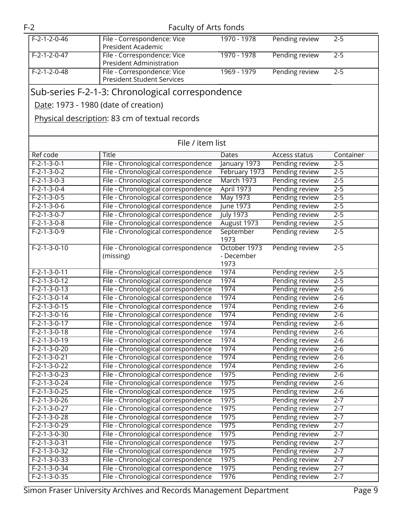| $F-2-1-3-0-11$ | File - Chronological correspondence                                | 1974 | Pending review | $2 - 5$ |        |
|----------------|--------------------------------------------------------------------|------|----------------|---------|--------|
| $F-2-1-3-0-12$ | File - Chronological correspondence                                | 1974 | Pending review | $2 - 5$ |        |
| $F-2-1-3-0-13$ | File - Chronological correspondence                                | 1974 | Pending review | $2 - 6$ |        |
| $F-2-1-3-0-14$ | File - Chronological correspondence                                | 1974 | Pending review | $2 - 6$ |        |
| $F-2-1-3-0-15$ | File - Chronological correspondence                                | 1974 | Pending review | $2 - 6$ |        |
| $F-2-1-3-0-16$ | File - Chronological correspondence                                | 1974 | Pending review | $2 - 6$ |        |
| $F-2-1-3-0-17$ | File - Chronological correspondence                                | 1974 | Pending review | $2 - 6$ |        |
| $F-2-1-3-0-18$ | File - Chronological correspondence                                | 1974 | Pending review | $2 - 6$ |        |
| $F-2-1-3-0-19$ | File - Chronological correspondence                                | 1974 | Pending review | $2 - 6$ |        |
| $F-2-1-3-0-20$ | File - Chronological correspondence                                | 1974 | Pending review | $2 - 6$ |        |
| $F-2-1-3-0-21$ | File - Chronological correspondence                                | 1974 | Pending review | $2 - 6$ |        |
| $F-2-1-3-0-22$ | File - Chronological correspondence                                | 1974 | Pending review | $2 - 6$ |        |
| $F-2-1-3-0-23$ | File - Chronological correspondence                                | 1975 | Pending review | $2 - 6$ |        |
| $F-2-1-3-0-24$ | File - Chronological correspondence                                | 1975 | Pending review | $2 - 6$ |        |
| $F-2-1-3-0-25$ | File - Chronological correspondence                                | 1975 | Pending review | $2 - 6$ |        |
| $F-2-1-3-0-26$ | File - Chronological correspondence                                | 1975 | Pending review | $2 - 7$ |        |
| $F-2-1-3-0-27$ | File - Chronological correspondence                                | 1975 | Pending review | $2 - 7$ |        |
| $F-2-1-3-0-28$ | File - Chronological correspondence                                | 1975 | Pending review | $2 - 7$ |        |
| $F-2-1-3-0-29$ | File - Chronological correspondence                                | 1975 | Pending review | $2 - 7$ |        |
| $F-2-1-3-0-30$ | File - Chronological correspondence                                | 1975 | Pending review | $2 - 7$ |        |
| $F-2-1-3-0-31$ | File - Chronological correspondence                                | 1975 | Pending review | $2 - 7$ |        |
| $F-2-1-3-0-32$ | File - Chronological correspondence                                | 1975 | Pending review | $2 - 7$ |        |
| $F-2-1-3-0-33$ | File - Chronological correspondence                                | 1975 | Pending review | $2 - 7$ |        |
| $F-2-1-3-0-34$ | File - Chronological correspondence                                | 1975 | Pending review | $2 - 7$ |        |
| $F-2-1-3-0-35$ | File - Chronological correspondence                                | 1976 | Pending review | $2 - 7$ |        |
|                | Simon Fraser University Archives and Records Management Department |      |                |         | Page 9 |
|                |                                                                    |      |                |         |        |

| F-2-1-2-0-46 | File - Correspondence: Vice<br>President Academic                | 1970 - 1978 | Pending review | $2 - 5$ |
|--------------|------------------------------------------------------------------|-------------|----------------|---------|
| F-2-1-2-0-47 | File - Correspondence: Vice<br><b>President Administration</b>   | 1970 - 1978 | Pending review | $2 - 5$ |
| F-2-1-2-0-48 | File - Correspondence: Vice<br><b>President Student Services</b> | 1969 - 1979 | Pending review | $2 - 5$ |
|              |                                                                  |             |                |         |

File / item list Ref code Title Title Dates Access status Container

1973

October 1973 - December 1973

Pending review 2-5

Pending review 2-5

F-2-1-3-0-1 File - Chronological correspondence January 1973 Pending review 2-5 F-2-1-3-0-2 File - Chronological correspondence February 1973 Pending review 2-5 F-2-1-3-0-3 File - Chronological correspondence March 1973 Pending review 2-5 F-2-1-3-0-4 File - Chronological correspondence April 1973 Pending review 2-5 F-2-1-3-0-5 File - Chronological correspondence May 1973 Pending review 2-5 F-2-1-3-0-6 File - Chronological correspondence June 1973 Pending review 2-5 F-2-1-3-0-7 File - Chronological correspondence July 1973 Pending review 2-5 F-2-1-3-0-8 File - Chronological correspondence August 1973 Pending review 2-5

### Sub-series F-2-1-3: Chronological correspondence

F-2-1-3-0-9 File - Chronological correspondence September

F-2-1-3-0-10 File - Chronological correspondence (missing)

Date: 1973 - 1980 (date of creation)

Physical description: 83 cm of textual records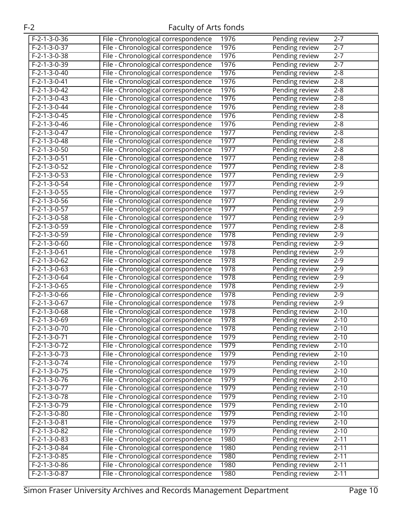| $F-2-1-3-0-36$           | File - Chronological correspondence | 1976 | Pending review | $2 - 7$  |
|--------------------------|-------------------------------------|------|----------------|----------|
| $F-2-1-3-0-37$           | File - Chronological correspondence | 1976 | Pending review | $2 - 7$  |
| $F-2-1-3-0-38$           | File - Chronological correspondence | 1976 | Pending review | $2 - 7$  |
| $F-2-1-3-0-39$           | File - Chronological correspondence | 1976 | Pending review | $2 - 7$  |
| $F-2-1-3-0-40$           | File - Chronological correspondence | 1976 | Pending review | $2 - 8$  |
| $F-2-1-3-0-41$           | File - Chronological correspondence | 1976 | Pending review | $2 - 8$  |
| $F-2-1-3-0-42$           | File - Chronological correspondence | 1976 | Pending review | $2 - 8$  |
| $F-2-1-3-0-43$           | File - Chronological correspondence | 1976 | Pending review | $2 - 8$  |
| $F-2-1-3-0-44$           | File - Chronological correspondence | 1976 | Pending review | $2 - 8$  |
| $F-2-1-3-0-45$           | File - Chronological correspondence | 1976 | Pending review | $2 - 8$  |
| $F-2-1-3-0-46$           | File - Chronological correspondence | 1976 | Pending review | $2 - 8$  |
| $F-2-1-3-0-47$           | File - Chronological correspondence | 1977 | Pending review | $2 - 8$  |
| $F-2-1-3-0-48$           | File - Chronological correspondence | 1977 | Pending review | $2 - 8$  |
| $F-2-1-3-0-50$           | File - Chronological correspondence | 1977 | Pending review | $2 - 8$  |
| $F-2-1-3-0-51$           | File - Chronological correspondence | 1977 | Pending review | $2 - 8$  |
| $F-2-1-3-0-52$           | File - Chronological correspondence | 1977 | Pending review | $2 - 8$  |
| $F-2-1-3-0-53$           | File - Chronological correspondence | 1977 | Pending review | $2 - 9$  |
| $F-2-1-3-0-54$           | File - Chronological correspondence | 1977 | Pending review | $2 - 9$  |
| $F-2-1-3-0-55$           | File - Chronological correspondence | 1977 | Pending review | $2 - 9$  |
| $F-2-1-3-0-56$           | File - Chronological correspondence | 1977 | Pending review | $2 - 9$  |
| $F-2-1-3-0-57$           | File - Chronological correspondence | 1977 | Pending review | $2 - 9$  |
| $F-2-1-3-0-58$           | File - Chronological correspondence | 1977 | Pending review | $2 - 9$  |
| $F-2-1-3-0-59$           | File - Chronological correspondence | 1977 | Pending review | $2 - 8$  |
| $F-2-1-3-0-59$           | File - Chronological correspondence | 1978 | Pending review | $2 - 9$  |
| $F-2-1-3-0-60$           | File - Chronological correspondence | 1978 | Pending review | $2 - 9$  |
| $F-2-1-3-0-61$           | File - Chronological correspondence | 1978 | Pending review | $2 - 9$  |
| $F-2-1-3-0-62$           | File - Chronological correspondence | 1978 | Pending review | $2 - 9$  |
| $F-2-1-3-0-63$           | File - Chronological correspondence | 1978 | Pending review | $2 - 9$  |
| $F-2-1-3-0-64$           | File - Chronological correspondence | 1978 | Pending review | $2 - 9$  |
| $F-2-1-3-0-65$           | File - Chronological correspondence | 1978 | Pending review | $2 - 9$  |
| $F-2-1-3-0-66$           | File - Chronological correspondence | 1978 | Pending review | $2 - 9$  |
| $F-2-1-3-0-67$           | File - Chronological correspondence | 1978 | Pending review | $2-9$    |
| $F-2-1-3-0-68$           | File - Chronological correspondence | 1978 | Pending review | $2 - 10$ |
| $F-2-1-3-0-69$           | File - Chronological correspondence | 1978 | Pending review | $2 - 10$ |
| $F - 2 - 1 - 3 - 0 - 70$ | File - Chronological correspondence | 1978 | Pending review | $2 - 10$ |
| F-2-1-3-0-71             | File - Chronological correspondence | 1979 | Pending review | $2 - 10$ |
| $F-2-1-3-0-72$           | File - Chronological correspondence | 1979 | Pending review | $2 - 10$ |
| F-2-1-3-0-73             | File - Chronological correspondence | 1979 | Pending review | $2 - 10$ |
| $F-2-1-3-0-74$           | File - Chronological correspondence | 1979 | Pending review | $2 - 10$ |
| $F-2-1-3-0-75$           | File - Chronological correspondence | 1979 | Pending review | $2 - 10$ |
| $F-2-1-3-0-76$           | File - Chronological correspondence | 1979 | Pending review | $2 - 10$ |
| F-2-1-3-0-77             | File - Chronological correspondence | 1979 | Pending review | $2 - 10$ |
| $F-2-1-3-0-78$           | File - Chronological correspondence | 1979 | Pending review | $2 - 10$ |
| F-2-1-3-0-79             | File - Chronological correspondence | 1979 | Pending review | $2 - 10$ |
| F-2-1-3-0-80             | File - Chronological correspondence | 1979 | Pending review | $2 - 10$ |
| $F-2-1-3-0-81$           | File - Chronological correspondence | 1979 | Pending review | $2 - 10$ |
| F-2-1-3-0-82             | File - Chronological correspondence | 1979 | Pending review | $2 - 10$ |
| F-2-1-3-0-83             | File - Chronological correspondence | 1980 | Pending review | $2 - 11$ |
| F-2-1-3-0-84             | File - Chronological correspondence | 1980 | Pending review | $2 - 11$ |
| F-2-1-3-0-85             | File - Chronological correspondence | 1980 | Pending review | $2 - 11$ |
| $F-2-1-3-0-86$           | File - Chronological correspondence | 1980 | Pending review | $2 - 11$ |
| F-2-1-3-0-87             | File - Chronological correspondence | 1980 | Pending review | $2 - 11$ |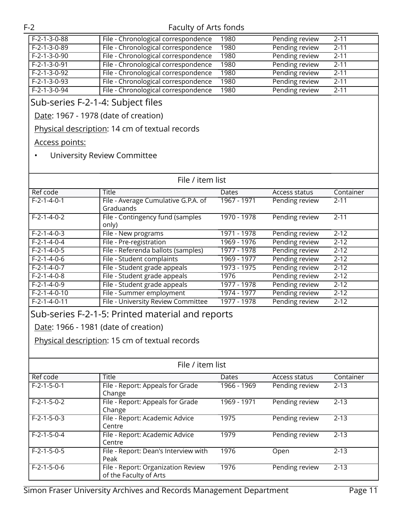| $F-2-1-3-0-88$ | File - Chronological correspondence | 1980 | Pending review | -2-11    |
|----------------|-------------------------------------|------|----------------|----------|
| $F-2-1-3-0-89$ | File - Chronological correspondence | 1980 | Pending review | $2 - 11$ |
| $F-2-1-3-0-90$ | File - Chronological correspondence | 1980 | Pending review | -2-11    |
| $F-2-1-3-0-91$ | File - Chronological correspondence | 1980 | Pending review | $2 - 11$ |
| $F-2-1-3-0-92$ | File - Chronological correspondence | 1980 | Pending review | $2 - 11$ |
| $F-2-1-3-0-93$ | File - Chronological correspondence | 1980 | Pending review | $2 - 11$ |
| $F-2-1-3-0-94$ | File - Chronological correspondence | 1980 | Pending review | $2 - 11$ |
|                |                                     |      |                |          |

## Sub-series F-2-1-4: Subject files

Date: 1967 - 1978 (date of creation)

Physical description: 14 cm of textual records

#### Access points:

#### • University Review Committee

| File / item list        |                                                                                        |              |                      |           |
|-------------------------|----------------------------------------------------------------------------------------|--------------|----------------------|-----------|
| Ref code                | <b>Title</b>                                                                           | <b>Dates</b> | <b>Access status</b> | Container |
| $F - 2 - 1 - 4 - 0 - 1$ | File - Average Cumulative G.P.A. of<br>Graduands                                       | 1967 - 1971  | Pending review       | $2 - 11$  |
| $F - 2 - 1 - 4 - 0 - 2$ | File - Contingency fund (samples<br>only)                                              | 1970 - 1978  | Pending review       | $2 - 11$  |
| $F-2-1-4-0-3$           | File - New programs                                                                    | 1971 - 1978  | Pending review       | $2 - 12$  |
| $F - 2 - 1 - 4 - 0 - 4$ | File - Pre-registration                                                                | 1969 - 1976  | Pending review       | $2 - 12$  |
| $F - 2 - 1 - 4 - 0 - 5$ | File - Referenda ballots (samples)                                                     | 1977 - 1978  | Pending review       | $2 - 12$  |
| $F-2-1-4-0-6$           | File - Student complaints                                                              | 1969 - 1977  | Pending review       | $2 - 12$  |
| $F-2-1-4-0-7$           | File - Student grade appeals                                                           | 1973 - 1975  | Pending review       | $2 - 12$  |
| $F-2-1-4-0-8$           | File - Student grade appeals                                                           | 1976         | Pending review       | $2 - 12$  |
| $F-2-1-4-0-9$           | File - Student grade appeals                                                           | 1977 - 1978  | Pending review       | $2 - 12$  |
| $F-2-1-4-0-10$          | File - Summer employment                                                               | 1974 - 1977  | Pending review       | $2 - 12$  |
| $F-2-1-4-0-11$          | File - University Review Committee                                                     | 1977 - 1978  | Pending review       | $2 - 12$  |
|                         | Date: 1966 - 1981 (date of creation)<br>Physical description: 15 cm of textual records |              |                      |           |
|                         | File / item list                                                                       |              |                      |           |
| Ref code                | <b>Title</b>                                                                           | <b>Dates</b> | Access status        | Container |
| $F-2-1-5-0-1$           | File - Report: Appeals for Grade<br>Change                                             | 1966 - 1969  | Pending review       | $2 - 13$  |
| $F-2-1-5-0-2$           | File - Report: Appeals for Grade<br>Change                                             | 1969 - 1971  | Pending review       | $2 - 13$  |
| $F-2-1-5-0-3$           | File - Report: Academic Advice<br>Centre                                               | 1975         | Pending review       | $2 - 13$  |
| $F-2-1-5-0-4$           | File - Report: Academic Advice<br>Centre                                               | 1979         | Pending review       | $2 - 13$  |
| $F-2-1-5-0-5$           | File - Report: Dean's Interview with<br>Peak                                           | 1976         | Open                 | $2 - 13$  |
| $F-2-1-5-0-6$           | File - Report: Organization Review<br>of the Faculty of Arts                           | 1976         | Pending review       | $2 - 13$  |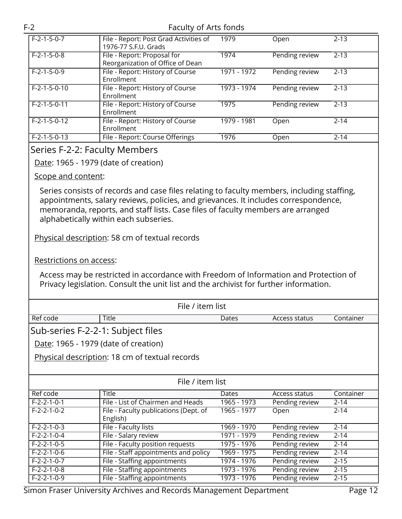| $F-2-1-5-0-7$  | File - Report: Post Grad Activities of<br>1976-77 S.F.U. Grads  | 1979        | Open           | $2 - 13$ |
|----------------|-----------------------------------------------------------------|-------------|----------------|----------|
| $F-2-1-5-0-8$  | File - Report: Proposal for<br>Reorganization of Office of Dean | 1974        | Pending review | $2 - 13$ |
| $F-2-1-5-0-9$  | File - Report: History of Course<br>Enrollment                  | 1971 - 1972 | Pending review | $2 - 13$ |
| $F-2-1-5-0-10$ | File - Report: History of Course<br>Enrollment                  | 1973 - 1974 | Pending review | $2 - 13$ |
| $F-2-1-5-0-11$ | File - Report: History of Course<br>Enrollment                  | 1975        | Pending review | $2 - 13$ |
| $F-2-1-5-0-12$ | File - Report: History of Course<br>Enrollment                  | 1979 - 1981 | Open           | $2 - 14$ |
| $F-2-1-5-0-13$ | File - Report: Course Offerings                                 | 1976        | Open           | $2 - 14$ |

#### <span id="page-11-0"></span>Series F-2-2: Faculty Members

Date: 1965 - 1979 (date of creation)

#### Scope and content:

Series consists of records and case files relating to faculty members, including staffing, appointments, salary reviews, policies, and grievances. It includes correspondence, memoranda, reports, and staff lists. Case files of faculty members are arranged alphabetically within each subseries.

Physical description: 58 cm of textual records

Restrictions on access:

Access may be restricted in accordance with Freedom of Information and Protection of Privacy legislation. Consult the unit list and the archivist for further information.

| File / item list                     |                                                   |              |                |           |  |
|--------------------------------------|---------------------------------------------------|--------------|----------------|-----------|--|
| Ref code                             | <b>Title</b>                                      | <b>Dates</b> | Access status  | Container |  |
| Sub-series F-2-2-1: Subject files    |                                                   |              |                |           |  |
| Date: 1965 - 1979 (date of creation) |                                                   |              |                |           |  |
|                                      | Physical description: 18 cm of textual records    |              |                |           |  |
|                                      |                                                   |              |                |           |  |
|                                      | File / item list                                  |              |                |           |  |
| Ref code                             | <b>Title</b>                                      | Dates        | Access status  | Container |  |
| $F-2-2-1-0-1$                        | File - List of Chairmen and Heads                 | 1965 - 1973  | Pending review | $2 - 14$  |  |
| $F - 2 - 2 - 1 - 0 - 2$              | File - Faculty publications (Dept. of<br>English) | 1965 - 1977  | Open           | $2 - 14$  |  |
| $F-2-2-1-0-3$                        | File - Faculty lists                              | 1969 - 1970  | Pending review | $2 - 14$  |  |
| $F-2-2-1-0-4$                        | File - Salary review                              | 1971 - 1979  | Pending review | $2 - 14$  |  |
| $F-2-2-1-0-5$                        | File - Faculty position requests                  | 1975 - 1976  | Pending review | $2 - 14$  |  |
| $F-2-2-1-0-6$                        | File - Staff appointments and policy              | 1969 - 1975  | Pending review | $2 - 14$  |  |
| $F-2-2-1-0-7$                        | File - Staffing appointments                      | 1974 - 1976  | Pending review | $2 - 15$  |  |
| $F-2-2-1-0-8$                        | File - Staffing appointments                      | 1973 - 1976  | Pending review | $2 - 15$  |  |
| $F-2-2-1-0-9$                        | File - Staffing appointments                      | 1973 - 1976  | Pending review | $2 - 15$  |  |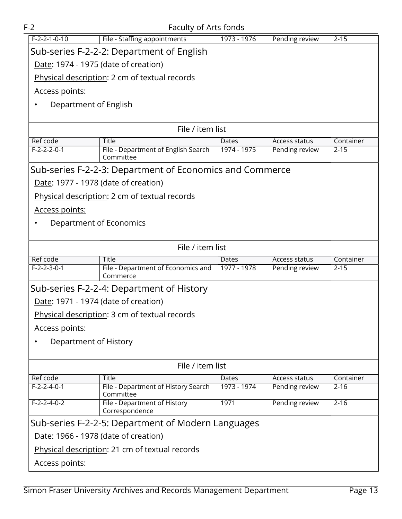| $F-2$                                | Faculty of Arts fonds                                    |             |                |           |  |
|--------------------------------------|----------------------------------------------------------|-------------|----------------|-----------|--|
| $F-2-2-1-0-10$                       | File - Staffing appointments                             | 1973 - 1976 | Pending review | $2 - 15$  |  |
|                                      | Sub-series F-2-2-2: Department of English                |             |                |           |  |
| Date: 1974 - 1975 (date of creation) |                                                          |             |                |           |  |
|                                      | Physical description: 2 cm of textual records            |             |                |           |  |
| <u>Access points:</u>                |                                                          |             |                |           |  |
| Department of English<br>$\bullet$   |                                                          |             |                |           |  |
|                                      |                                                          |             |                |           |  |
|                                      | File / item list                                         |             |                |           |  |
| Ref code                             | Title                                                    | Dates       | Access status  | Container |  |
| $F-2-2-2-0-1$                        | File - Department of English Search<br>Committee         | 1974 - 1975 | Pending review | $2 - 15$  |  |
|                                      | Sub-series F-2-2-3: Department of Economics and Commerce |             |                |           |  |
| Date: 1977 - 1978 (date of creation) |                                                          |             |                |           |  |
|                                      | Physical description: 2 cm of textual records            |             |                |           |  |
| Access points:                       |                                                          |             |                |           |  |
| Department of Economics<br>٠         |                                                          |             |                |           |  |
|                                      |                                                          |             |                |           |  |
|                                      | File / item list                                         |             |                |           |  |
| Ref code                             | Title                                                    | Dates       | Access status  | Container |  |
| $F-2-2-3-0-1$                        | File - Department of Economics and<br>Commerce           | 1977 - 1978 | Pending review | $2 - 15$  |  |
|                                      | Sub-series F-2-2-4: Department of History                |             |                |           |  |
| Date: 1971 - 1974 (date of creation) |                                                          |             |                |           |  |
|                                      | Physical description: 3 cm of textual records            |             |                |           |  |
| <u>Access points:</u>                |                                                          |             |                |           |  |
| Department of History                |                                                          |             |                |           |  |
|                                      |                                                          |             |                |           |  |
|                                      | File / item list                                         |             |                |           |  |
| Ref code                             | Title                                                    | Dates       | Access status  | Container |  |
| $F-2-2-4-0-1$                        | File - Department of History Search<br>Committee         | 1973 - 1974 | Pending review | $2 - 16$  |  |
| $F-2-2-4-0-2$                        | File - Department of History<br>Correspondence           | 1971        | Pending review | $2 - 16$  |  |
|                                      | Sub-series F-2-2-5: Department of Modern Languages       |             |                |           |  |
| Date: 1966 - 1978 (date of creation) |                                                          |             |                |           |  |
|                                      | Physical description: 21 cm of textual records           |             |                |           |  |
| Access points:                       |                                                          |             |                |           |  |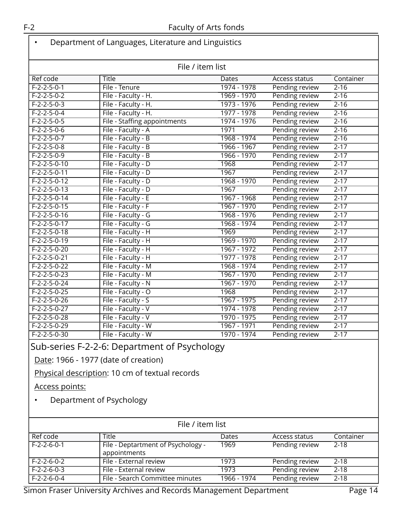| File / item list |                              |             |                      |           |
|------------------|------------------------------|-------------|----------------------|-----------|
| <b>Ref code</b>  | <b>Title</b>                 | Dates       | <b>Access status</b> | Container |
| $F-2-2-5-0-1$    | File - Tenure                | 1974 - 1978 | Pending review       | $2 - 16$  |
| $F-2-2-5-0-2$    | File - Faculty - H.          | 1969 - 1970 | Pending review       | $2 - 16$  |
| $F-2-2-5-0-3$    | File - Faculty - H.          | 1973 - 1976 | Pending review       | $2 - 16$  |
| $F-2-2-5-0-4$    | File - Faculty - H.          | 1977 - 1978 | Pending review       | $2 - 16$  |
| $F-2-2-5-0-5$    | File - Staffing appointments | 1974 - 1976 | Pending review       | $2 - 16$  |
| $F-2-2-5-0-6$    | File - Faculty - A           | 1971        | Pending review       | $2 - 16$  |
| $F-2-2-5-0-7$    | File - Faculty - B           | 1968 - 1974 | Pending review       | $2 - 16$  |
| $F-2-2-5-0-8$    | File - Faculty - B           | 1966 - 1967 | Pending review       | $2 - 17$  |
| $F-2-2-5-0-9$    | File - Faculty - B           | 1966 - 1970 | Pending review       | $2 - 17$  |
| $F-2-2-5-0-10$   | File - Faculty - D           | 1968        | Pending review       | $2 - 17$  |
| $F-2-2-5-0-11$   | File - Faculty - D           | 1967        | Pending review       | $2 - 17$  |
| $F-2-2-5-0-12$   | File - Faculty - D           | 1968 - 1970 | Pending review       | $2 - 17$  |
| $F-2-2-5-0-13$   | File - Faculty - D           | 1967        | Pending review       | $2 - 17$  |
| $F-2-2-5-0-14$   | File - Faculty - E           | 1967 - 1968 | Pending review       | $2 - 17$  |
| $F-2-2-5-0-15$   | File - Faculty - F           | 1967 - 1970 | Pending review       | $2 - 17$  |
| $F-2-2-5-0-16$   | File - Faculty - G           | 1968 - 1976 | Pending review       | $2 - 17$  |
| $F-2-2-5-0-17$   | File - Faculty - G           | 1968 - 1974 | Pending review       | $2 - 17$  |
| $F-2-2-5-0-18$   | File - Faculty - H           | 1969        | Pending review       | $2 - 17$  |
| $F-2-2-5-0-19$   | File - Faculty - H           | 1969 - 1970 | Pending review       | $2 - 17$  |
| $F-2-2-5-0-20$   | File - Faculty - H           | 1967 - 1972 | Pending review       | $2 - 17$  |
| $F-2-2-5-0-21$   | File - Faculty - H           | 1977 - 1978 | Pending review       | $2 - 17$  |
| $F-2-2-5-0-22$   | File - Faculty - M           | 1968 - 1974 | Pending review       | $2 - 17$  |
| $F-2-2-5-0-23$   | File - Faculty - M           | 1967 - 1970 | Pending review       | $2 - 17$  |
| $F-2-2-5-0-24$   | File - Faculty - N           | 1967 - 1970 | Pending review       | $2 - 17$  |
| $F-2-2-5-0-25$   | File - Faculty - O           | 1968        | Pending review       | $2 - 17$  |
| $F-2-2-5-0-26$   | File - Faculty - S           | 1967 - 1975 | Pending review       | $2 - 17$  |
| $F-2-2-5-0-27$   | File - Faculty - V           | 1974 - 1978 | Pending review       | $2 - 17$  |
| $F-2-2-5-0-28$   | File - Faculty - V           | 1970 - 1975 | Pending review       | $2 - 17$  |
| $F-2-2-5-0-29$   | File - Faculty - W           | 1967 - 1971 | Pending review       | $2 - 17$  |
| $F-2-2-5-0-30$   | File - Faculty - W           | 1970 - 1974 | Pending review       | $2 - 17$  |

Date: 1966 - 1977 (date of creation)

Physical description: 10 cm of textual records

Access points:

• Department of Psychology

| File / item list |                                                    |              |                |           |
|------------------|----------------------------------------------------|--------------|----------------|-----------|
| Ref code         | Title                                              | <b>Dates</b> | Access status  | Container |
| $F-2-2-6-0-1$    | File - Deptartment of Psychology -<br>appointments | 1969         | Pending review | 2-18      |
| $F-2-2-6-0-2$    | File - External review                             | 1973         | Pending review | 2-18      |
| $F-2-2-6-0-3$    | File - External review                             | 1973         | Pending review | $2 - 18$  |
| $F-2-2-6-0-4$    | File - Search Committee minutes                    | 1966 - 1974  | Pending review | $2 - 18$  |

Simon Fraser University Archives and Records Management Department Page 14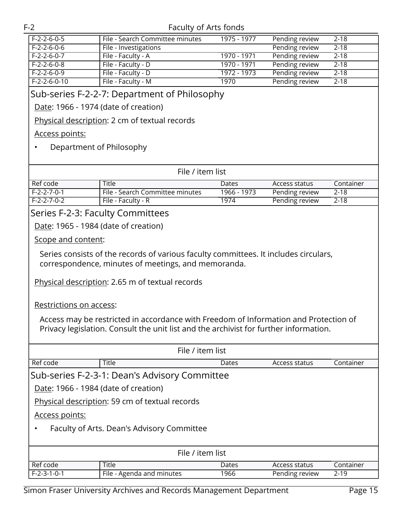| $F-2-2-6-0-5$  | File - Search Committee minutes | 1975 - 1977 | Pending review | 2-18     |
|----------------|---------------------------------|-------------|----------------|----------|
| $F-2-2-6-0-6$  | File - Investigations           |             | Pending review | $2 - 18$ |
| $F-2-2-6-0-7$  | File - Faculty - A              | 1970 - 1971 | Pending review | $2 - 18$ |
| $F-2-2-6-0-8$  | File - Faculty - D              | 1970 - 1971 | Pending review | $2 - 18$ |
| $F-2-2-6-0-9$  | File - Faculty - D              | 1972 - 1973 | Pending review | $2 - 18$ |
| $F-2-2-6-0-10$ | File - Faculty - M              | 1970        | Pending review | $2 - 18$ |
|                |                                 |             |                |          |

#### Sub-series F-2-2-7: Department of Philosophy

Date: 1966 - 1974 (date of creation)

Physical description: 2 cm of textual records

#### Access points:

#### • Department of Philosophy

| File / item list |                                 |             |                |           |
|------------------|---------------------------------|-------------|----------------|-----------|
| Ref code         | Title                           | Dates       | Access status  | Container |
| F-2-2-7-0-1      | File - Search Committee minutes | 1966 - 1973 | Pending review | $2 - 18$  |
| F-2-2-7-0-2      | File - Faculty - R              | 1974        | Pending review | $2 - 18$  |

#### <span id="page-14-0"></span>Series F-2-3: Faculty Committees

Date: 1965 - 1984 (date of creation)

#### Scope and content:

Series consists of the records of various faculty committees. It includes circulars, correspondence, minutes of meetings, and memoranda.

Physical description: 2.65 m of textual records

#### Restrictions on access:

Access may be restricted in accordance with Freedom of Information and Protection of Privacy legislation. Consult the unit list and the archivist for further information.

| File / item list                     |                                                |       |                |           |
|--------------------------------------|------------------------------------------------|-------|----------------|-----------|
| Ref code                             | Title                                          | Dates | Access status  | Container |
|                                      | Sub-series F-2-3-1: Dean's Advisory Committee  |       |                |           |
| Date: 1966 - 1984 (date of creation) |                                                |       |                |           |
|                                      | Physical description: 59 cm of textual records |       |                |           |
| Access points:                       |                                                |       |                |           |
|                                      | Faculty of Arts. Dean's Advisory Committee     |       |                |           |
|                                      |                                                |       |                |           |
| File / item list                     |                                                |       |                |           |
| Ref code                             | <b>Title</b>                                   | Dates | Access status  | Container |
| $F-2-3-1-0-1$                        | File - Agenda and minutes                      | 1966  | Pending review | $2 - 19$  |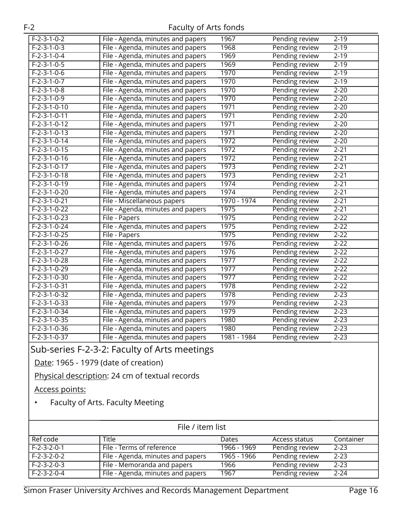| $F-2-3-1-0-2$  | File - Agenda, minutes and papers | 1967        | Pending review | $2 - 19$ |
|----------------|-----------------------------------|-------------|----------------|----------|
| $F-2-3-1-0-3$  | File - Agenda, minutes and papers | 1968        | Pending review | $2 - 19$ |
| $F-2-3-1-0-4$  | File - Agenda, minutes and papers | 1969        | Pending review | $2 - 19$ |
| $F-2-3-1-0-5$  | File - Agenda, minutes and papers | 1969        | Pending review | $2 - 19$ |
| $F-2-3-1-0-6$  | File - Agenda, minutes and papers | 1970        | Pending review | $2 - 19$ |
| $F-2-3-1-0-7$  | File - Agenda, minutes and papers | 1970        | Pending review | $2 - 19$ |
| $F-2-3-1-0-8$  | File - Agenda, minutes and papers | 1970        | Pending review | $2 - 20$ |
| $F-2-3-1-0-9$  | File - Agenda, minutes and papers | 1970        | Pending review | $2 - 20$ |
| $F-2-3-1-0-10$ | File - Agenda, minutes and papers | 1971        | Pending review | $2 - 20$ |
| $F-2-3-1-0-11$ | File - Agenda, minutes and papers | 1971        | Pending review | $2 - 20$ |
| $F-2-3-1-0-12$ | File - Agenda, minutes and papers | 1971        | Pending review | $2 - 20$ |
| $F-2-3-1-0-13$ | File - Agenda, minutes and papers | 1971        | Pending review | $2 - 20$ |
| $F-2-3-1-0-14$ | File - Agenda, minutes and papers | 1972        | Pending review | $2 - 20$ |
| $F-2-3-1-0-15$ | File - Agenda, minutes and papers | 1972        | Pending review | $2 - 21$ |
| $F-2-3-1-0-16$ | File - Agenda, minutes and papers | 1972        | Pending review | $2 - 21$ |
| $F-2-3-1-0-17$ | File - Agenda, minutes and papers | 1973        | Pending review | $2 - 21$ |
| $F-2-3-1-0-18$ | File - Agenda, minutes and papers | 1973        | Pending review | $2 - 21$ |
| $F-2-3-1-0-19$ | File - Agenda, minutes and papers | 1974        | Pending review | $2 - 21$ |
| $F-2-3-1-0-20$ | File - Agenda, minutes and papers | 1974        | Pending review | $2 - 21$ |
| $F-2-3-1-0-21$ | File - Miscellaneous papers       | 1970 - 1974 | Pending review | $2 - 21$ |
| $F-2-3-1-0-22$ | File - Agenda, minutes and papers | 1975        | Pending review | $2 - 21$ |
| $F-2-3-1-0-23$ | File - Papers                     | 1975        | Pending review | $2 - 22$ |
| $F-2-3-1-0-24$ | File - Agenda, minutes and papers | 1975        | Pending review | $2 - 22$ |
| $F-2-3-1-0-25$ | File - Papers                     | 1975        | Pending review | $2 - 22$ |
| $F-2-3-1-0-26$ | File - Agenda, minutes and papers | 1976        | Pending review | $2 - 22$ |
| $F-2-3-1-0-27$ | File - Agenda, minutes and papers | 1976        | Pending review | $2 - 22$ |
| $F-2-3-1-0-28$ | File - Agenda, minutes and papers | 1977        | Pending review | $2 - 22$ |
| $F-2-3-1-0-29$ | File - Agenda, minutes and papers | 1977        | Pending review | $2 - 22$ |
| $F-2-3-1-0-30$ | File - Agenda, minutes and papers | 1977        | Pending review | $2 - 22$ |
| $F-2-3-1-0-31$ | File - Agenda, minutes and papers | 1978        | Pending review | $2 - 22$ |
| $F-2-3-1-0-32$ | File - Agenda, minutes and papers | 1978        | Pending review | $2 - 23$ |
| $F-2-3-1-0-33$ | File - Agenda, minutes and papers | 1979        | Pending review | $2 - 23$ |
| $F-2-3-1-0-34$ | File - Agenda, minutes and papers | 1979        | Pending review | $2 - 23$ |
| $F-2-3-1-0-35$ | File - Agenda, minutes and papers | 1980        | Pending review | $2 - 23$ |
| $F-2-3-1-0-36$ | File - Agenda, minutes and papers | 1980        | Pending review | $2 - 23$ |
| $F-2-3-1-0-37$ | File - Agenda, minutes and papers | 1981 - 1984 | Pending review | $2 - 23$ |

## Sub-series F-2-3-2: Faculty of Arts meetings

Date: 1965 - 1979 (date of creation)

Physical description: 24 cm of textual records

Access points:

• Faculty of Arts. Faculty Meeting

| File / item list |                                   |              |                |           |  |
|------------------|-----------------------------------|--------------|----------------|-----------|--|
| Ref code         | Title                             | <b>Dates</b> | Access status  | Container |  |
| $F-2-3-2-0-1$    | File - Terms of reference         | 1966 - 1969  | Pending review | $2 - 23$  |  |
| $F-2-3-2-0-2$    | File - Agenda, minutes and papers | 1965 - 1966  | Pending review | $2 - 23$  |  |
| $F-2-3-2-0-3$    | File - Memoranda and papers       | 1966         | Pending review | $2 - 23$  |  |
| $F-2-3-2-0-4$    | File - Agenda, minutes and papers | 1967         | Pending review | $2 - 24$  |  |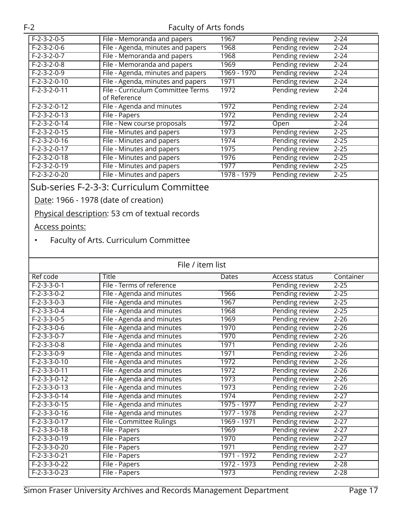| $F-2-3-2-0-5$            | File - Memoranda and papers       | 1967        | Pending review | $2 - 24$ |
|--------------------------|-----------------------------------|-------------|----------------|----------|
| $F-2-3-2-0-6$            | File - Agenda, minutes and papers | 1968        | Pending review | $2 - 24$ |
| $F-2-3-2-0-7$            | File - Memoranda and papers       | 1968        | Pending review | $2 - 24$ |
| $F-2-3-2-0-8$            | File - Memoranda and papers       | 1969        | Pending review | $2 - 24$ |
| $F-2-3-2-0-9$            | File - Agenda, minutes and papers | 1969 - 1970 | Pending review | $2 - 24$ |
| $F-2-3-2-0-10$           | File - Agenda, minutes and papers | 1971        | Pending review | $2 - 24$ |
| $F-2-3-2-0-11$           | File - Curriculum Committee Terms | 1972        | Pending review | $2 - 24$ |
|                          | of Reference                      |             |                |          |
| $F-2-3-2-0-12$           | File - Agenda and minutes         | 1972        | Pending review | $2 - 24$ |
| $F-2-3-2-0-13$           | File - Papers                     | 1972        | Pending review | $2 - 24$ |
| $F-2-3-2-0-14$           | File - New course proposals       | 1972        | Open           | $2 - 24$ |
| $F-2-3-2-0-15$           | File - Minutes and papers         | 1973        | Pending review | $2 - 25$ |
| $F - 2 - 3 - 2 - 0 - 16$ | File - Minutes and papers         | 1974        | Pending review | $2 - 25$ |
| $F-2-3-2-0-17$           | File - Minutes and papers         | 1975        | Pending review | $2 - 25$ |
| $F-2-3-2-0-18$           | File - Minutes and papers         | 1976        | Pending review | $2 - 25$ |
| $F-2-3-2-0-19$           | File - Minutes and papers         | 1977        | Pending review | $2 - 25$ |
| $F-2-3-2-0-20$           | File - Minutes and papers         | 1978 - 1979 | Pending review | $2 - 25$ |

## Sub-series F-2-3-3: Curriculum Committee

Date: 1966 - 1978 (date of creation)

Physical description: 53 cm of textual records

Access points:

#### • Faculty of Arts. Curriculum Committee

| File / item list |                           |             |                |           |
|------------------|---------------------------|-------------|----------------|-----------|
| Ref code         | Title                     | Dates       | Access status  | Container |
| $F-2-3-3-0-1$    | File - Terms of reference |             | Pending review | $2 - 25$  |
| $F-2-3-3-0-2$    | File - Agenda and minutes | 1966        | Pending review | $2 - 25$  |
| $F-2-3-3-0-3$    | File - Agenda and minutes | 1967        | Pending review | $2 - 25$  |
| $F-2-3-3-0-4$    | File - Agenda and minutes | 1968        | Pending review | $2 - 25$  |
| $F-2-3-3-0-5$    | File - Agenda and minutes | 1969        | Pending review | $2 - 26$  |
| $F-2-3-3-0-6$    | File - Agenda and minutes | 1970        | Pending review | $2 - 26$  |
| $F-2-3-3-0-7$    | File - Agenda and minutes | 1970        | Pending review | $2 - 26$  |
| $F-2-3-3-0-8$    | File - Agenda and minutes | 1971        | Pending review | $2 - 26$  |
| $F-2-3-3-0-9$    | File - Agenda and minutes | 1971        | Pending review | $2 - 26$  |
| $F-2-3-3-0-10$   | File - Agenda and minutes | 1972        | Pending review | $2 - 26$  |
| $F-2-3-3-0-11$   | File - Agenda and minutes | 1972        | Pending review | $2 - 26$  |
| $F-2-3-3-0-12$   | File - Agenda and minutes | 1973        | Pending review | $2 - 26$  |
| $F-2-3-3-0-13$   | File - Agenda and minutes | 1973        | Pending review | $2 - 26$  |
| $F-2-3-3-0-14$   | File - Agenda and minutes | 1974        | Pending review | $2 - 27$  |
| $F-2-3-3-0-15$   | File - Agenda and minutes | 1975 - 1977 | Pending review | $2 - 27$  |
| $F-2-3-3-0-16$   | File - Agenda and minutes | 1977 - 1978 | Pending review | $2 - 27$  |
| $F-2-3-3-0-17$   | File - Committee Rulings  | 1969 - 1971 | Pending review | $2 - 27$  |
| $F-2-3-3-0-18$   | File - Papers             | 1969        | Pending review | $2 - 27$  |
| $F-2-3-3-0-19$   | File - Papers             | 1970        | Pending review | $2 - 27$  |
| $F-2-3-3-0-20$   | File - Papers             | 1971        | Pending review | $2 - 27$  |
| $F-2-3-3-0-21$   | File - Papers             | 1971 - 1972 | Pending review | $2 - 27$  |
| $F-2-3-3-0-22$   | File - Papers             | 1972 - 1973 | Pending review | $2 - 28$  |
| F-2-3-3-0-23     | File - Papers             | 1973        | Pending review | $2 - 28$  |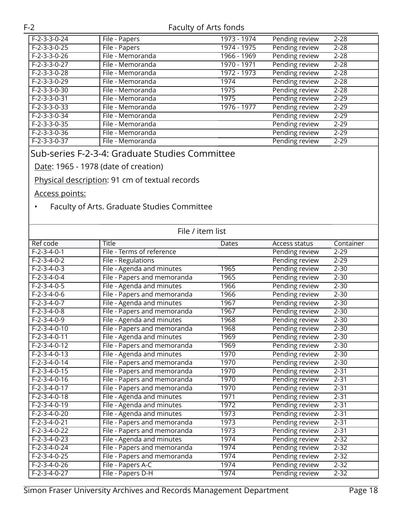| $F-2-3-3-0-24$ | File - Papers    | $1973 - 1974$ | Pending review | $2 - 28$ |
|----------------|------------------|---------------|----------------|----------|
| $F-2-3-3-0-25$ | File - Papers    | 1974 - 1975   | Pending review | $2 - 28$ |
| $F-2-3-3-0-26$ | File - Memoranda | 1966 - 1969   | Pending review | $2 - 28$ |
| $F-2-3-3-0-27$ | File - Memoranda | 1970 - 1971   | Pending review | $2 - 28$ |
| $F-2-3-3-0-28$ | File - Memoranda | 1972 - 1973   | Pending review | $2 - 28$ |
| $F-2-3-3-0-29$ | File - Memoranda | 1974          | Pending review | $2 - 28$ |
| $F-2-3-3-0-30$ | File - Memoranda | 1975          | Pending review | $2 - 28$ |
| $F-2-3-3-0-31$ | File - Memoranda | 1975          | Pending review | $2 - 29$ |
| $F-2-3-3-0-33$ | File - Memoranda | 1976 - 1977   | Pending review | $2 - 29$ |
| $F-2-3-3-0-34$ | File - Memoranda |               | Pending review | $2 - 29$ |
| $F-2-3-3-0-35$ | File - Memoranda |               | Pending review | $2 - 29$ |
| $F-2-3-3-0-36$ | File - Memoranda |               | Pending review | $2 - 29$ |
| F-2-3-3-0-37   | File - Memoranda |               | Pending review | $2 - 29$ |

## Sub-series F-2-3-4: Graduate Studies Committee

Date: 1965 - 1978 (date of creation)

Physical description: 91 cm of textual records

Access points:

• Faculty of Arts. Graduate Studies Committee

| File / item list |                             |       |                |           |
|------------------|-----------------------------|-------|----------------|-----------|
| Ref code         | <b>Title</b>                | Dates | Access status  | Container |
| $F-2-3-4-0-1$    | File - Terms of reference   |       | Pending review | $2 - 29$  |
| $F-2-3-4-0-2$    | File - Regulations          |       | Pending review | $2 - 29$  |
| $F-2-3-4-0-3$    | File - Agenda and minutes   | 1965  | Pending review | $2 - 30$  |
| $F-2-3-4-0-4$    | File - Papers and memoranda | 1965  | Pending review | $2 - 30$  |
| $F-2-3-4-0-5$    | File - Agenda and minutes   | 1966  | Pending review | $2 - 30$  |
| $F-2-3-4-0-6$    | File - Papers and memoranda | 1966  | Pending review | $2 - 30$  |
| $F-2-3-4-0-7$    | File - Agenda and minutes   | 1967  | Pending review | $2 - 30$  |
| $F-2-3-4-0-8$    | File - Papers and memoranda | 1967  | Pending review | $2 - 30$  |
| $F-2-3-4-0-9$    | File - Agenda and minutes   | 1968  | Pending review | $2 - 30$  |
| $F-2-3-4-0-10$   | File - Papers and memoranda | 1968  | Pending review | $2 - 30$  |
| $F-2-3-4-0-11$   | File - Agenda and minutes   | 1969  | Pending review | $2 - 30$  |
| $F-2-3-4-0-12$   | File - Papers and memoranda | 1969  | Pending review | $2 - 30$  |
| $F-2-3-4-0-13$   | File - Agenda and minutes   | 1970  | Pending review | $2 - 30$  |
| $F-2-3-4-0-14$   | File - Papers and memoranda | 1970  | Pending review | $2 - 30$  |
| $F-2-3-4-0-15$   | File - Papers and memoranda | 1970  | Pending review | $2 - 31$  |
| $F-2-3-4-0-16$   | File - Papers and memoranda | 1970  | Pending review | $2 - 31$  |
| $F-2-3-4-0-17$   | File - Papers and memoranda | 1970  | Pending review | $2 - 31$  |
| $F-2-3-4-0-18$   | File - Agenda and minutes   | 1971  | Pending review | $2 - 31$  |
| $F-2-3-4-0-19$   | File - Agenda and minutes   | 1972  | Pending review | $2 - 31$  |
| $F-2-3-4-0-20$   | File - Agenda and minutes   | 1973  | Pending review | $2 - 31$  |
| $F-2-3-4-0-21$   | File - Papers and memoranda | 1973  | Pending review | $2 - 31$  |
| $F-2-3-4-0-22$   | File - Papers and memoranda | 1973  | Pending review | $2 - 31$  |
| $F-2-3-4-0-23$   | File - Agenda and minutes   | 1974  | Pending review | $2 - 32$  |
| $F-2-3-4-0-24$   | File - Papers and memoranda | 1974  | Pending review | $2 - 32$  |
| $F-2-3-4-0-25$   | File - Papers and memoranda | 1974  | Pending review | $2 - 32$  |
| $F-2-3-4-0-26$   | File - Papers A-C           | 1974  | Pending review | $2 - 32$  |
| $F-2-3-4-0-27$   | File - Papers D-H           | 1974  | Pending review | $2 - 32$  |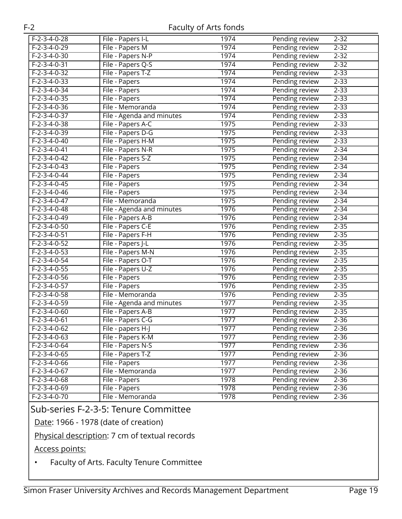| $F-2-3-4-0-28$ | File - Papers I-L         | 1974 | Pending review<br>$2 - 32$ |
|----------------|---------------------------|------|----------------------------|
| $F-2-3-4-0-29$ | File - Papers M           | 1974 | Pending review<br>$2 - 32$ |
| $F-2-3-4-0-30$ | File - Papers N-P         | 1974 | Pending review<br>$2 - 32$ |
| $F-2-3-4-0-31$ | File - Papers Q-S         | 1974 | $2 - 32$<br>Pending review |
| $F-2-3-4-0-32$ | File - Papers T-Z         | 1974 | Pending review<br>$2 - 33$ |
| $F-2-3-4-0-33$ | File - Papers             | 1974 | Pending review<br>$2 - 33$ |
| $F-2-3-4-0-34$ | File - Papers             | 1974 | $2 - 33$<br>Pending review |
| $F-2-3-4-0-35$ | File - Papers             | 1974 | $2 - 33$<br>Pending review |
| $F-2-3-4-0-36$ | File - Memoranda          | 1974 | $2 - 33$<br>Pending review |
| $F-2-3-4-0-37$ | File - Agenda and minutes | 1974 | $2 - 33$<br>Pending review |
| $F-2-3-4-0-38$ | File - Papers A-C         | 1975 | Pending review<br>$2 - 33$ |
| $F-2-3-4-0-39$ | File - Papers D-G         | 1975 | Pending review<br>$2 - 33$ |
| $F-2-3-4-0-40$ | File - Papers H-M         | 1975 | $2 - 33$<br>Pending review |
| $F-2-3-4-0-41$ | File - Papers N-R         | 1975 | Pending review<br>$2 - 34$ |
| $F-2-3-4-0-42$ | File - Papers S-Z         | 1975 | Pending review<br>$2 - 34$ |
| $F-2-3-4-0-43$ | File - Papers             | 1975 | $2 - 34$<br>Pending review |
| $F-2-3-4-0-44$ | File - Papers             | 1975 | Pending review<br>$2 - 34$ |
| $F-2-3-4-0-45$ | File - Papers             | 1975 | Pending review<br>$2 - 34$ |
| $F-2-3-4-0-46$ | File - Papers             | 1975 | Pending review<br>$2 - 34$ |
| $F-2-3-4-0-47$ | File - Memoranda          | 1975 | Pending review<br>$2 - 34$ |
| $F-2-3-4-0-48$ | File - Agenda and minutes | 1976 | $2 - 34$<br>Pending review |
| $F-2-3-4-0-49$ | File - Papers A-B         | 1976 | Pending review<br>$2 - 34$ |
| $F-2-3-4-0-50$ | File - Papers C-E         | 1976 | Pending review<br>$2 - 35$ |
| $F-2-3-4-0-51$ | File - Papers F-H         | 1976 | Pending review<br>$2 - 35$ |
| $F-2-3-4-0-52$ | File - Papers J-L         | 1976 | $2 - 35$<br>Pending review |
| $F-2-3-4-0-53$ | File - Papers M-N         | 1976 | Pending review<br>$2 - 35$ |
| $F-2-3-4-0-54$ | File - Papers O-T         | 1976 | $2 - 35$<br>Pending review |
| $F-2-3-4-0-55$ | File - Papers U-Z         | 1976 | $2 - 35$<br>Pending review |
| $F-2-3-4-0-56$ | File - Papers             | 1976 | Pending review<br>$2 - 35$ |
| $F-2-3-4-0-57$ | File - Papers             | 1976 | Pending review<br>$2 - 35$ |
| $F-2-3-4-0-58$ | File - Memoranda          | 1976 | $2 - 35$<br>Pending review |
| $F-2-3-4-0-59$ | File - Agenda and minutes | 1977 | Pending review<br>$2 - 35$ |
| $F-2-3-4-0-60$ | File - Papers A-B         | 1977 | $2 - 35$<br>Pending review |
| $F-2-3-4-0-61$ | File - Papers C-G         | 1977 | $2 - 36$<br>Pending review |
| $F-2-3-4-0-62$ | File - papers H-J         | 1977 | $2 - 36$<br>Pending review |
| $F-2-3-4-0-63$ | File - Papers K-M         | 1977 | $2 - 36$<br>Pending review |
| $F-2-3-4-0-64$ | File - Papers N-S         | 1977 | $2 - 36$<br>Pending review |
| $F-2-3-4-0-65$ | File - Papers T-Z         | 1977 | Pending review<br>$2 - 36$ |
| $F-2-3-4-0-66$ | File - Papers             | 1977 | Pending review<br>$2 - 36$ |
| $F-2-3-4-0-67$ | File - Memoranda          | 1977 | Pending review<br>$2 - 36$ |
| F-2-3-4-0-68   | File - Papers             | 1978 | Pending review<br>$2 - 36$ |
| $F-2-3-4-0-69$ | File - Papers             | 1978 | Pending review<br>$2 - 36$ |
| $F-2-3-4-0-70$ | File - Memoranda          | 1978 | Pending review<br>$2 - 36$ |

### Sub-series F-2-3-5: Tenure Committee

Date: 1966 - 1978 (date of creation)

#### Physical description: 7 cm of textual records

Access points:

• Faculty of Arts. Faculty Tenure Committee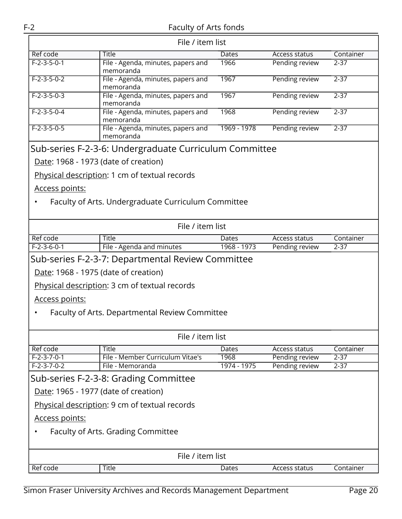| File / item list                              |                                                        |             |                |           |  |
|-----------------------------------------------|--------------------------------------------------------|-------------|----------------|-----------|--|
| Ref code                                      | <b>Title</b>                                           | Dates       | Access status  | Container |  |
| $F-2-3-5-0-1$                                 | File - Agenda, minutes, papers and<br>memoranda        | 1966        | Pending review | $2 - 37$  |  |
| $F-2-3-5-0-2$                                 | File - Agenda, minutes, papers and<br>memoranda        | 1967        | Pending review | $2 - 37$  |  |
| $F-2-3-5-0-3$                                 | File - Agenda, minutes, papers and<br>memoranda        | 1967        | Pending review | $2 - 37$  |  |
| $F-2-3-5-0-4$                                 | File - Agenda, minutes, papers and<br>memoranda        | 1968        | Pending review | $2 - 37$  |  |
| $F-2-3-5-0-5$                                 | File - Agenda, minutes, papers and<br>memoranda        | 1969 - 1978 | Pending review | $2 - 37$  |  |
|                                               | Sub-series F-2-3-6: Undergraduate Curriculum Committee |             |                |           |  |
| Date: 1968 - 1973 (date of creation)          |                                                        |             |                |           |  |
|                                               | Physical description: 1 cm of textual records          |             |                |           |  |
| Access points:                                |                                                        |             |                |           |  |
|                                               | Faculty of Arts. Undergraduate Curriculum Committee    |             |                |           |  |
|                                               |                                                        |             |                |           |  |
| File / item list                              |                                                        |             |                |           |  |
| Ref code                                      | <b>Title</b>                                           | Dates       | Access status  | Container |  |
| $F-2-3-6-0-1$                                 | File - Agenda and minutes                              | 1968 - 1973 | Pending review | $2 - 37$  |  |
|                                               | Sub-series F-2-3-7: Departmental Review Committee      |             |                |           |  |
| Date: 1968 - 1975 (date of creation)          |                                                        |             |                |           |  |
| Physical description: 3 cm of textual records |                                                        |             |                |           |  |
| <u>Access points:</u>                         |                                                        |             |                |           |  |
|                                               | Faculty of Arts. Departmental Review Committee         |             |                |           |  |
|                                               |                                                        |             |                |           |  |
| File / item list                              |                                                        |             |                |           |  |
| Ref code                                      | <b>Title</b>                                           | Dates       | Access status  | Container |  |
| $F-2-3-7-0-1$                                 | File - Member Curriculum Vitae's                       | 1968        | Pending review | $2 - 37$  |  |
| $F-2-3-7-0-2$                                 | File - Memoranda                                       | 1974 - 1975 | Pending review | $2 - 37$  |  |
| Sub-series F-2-3-8: Grading Committee         |                                                        |             |                |           |  |
| Date: 1965 - 1977 (date of creation)          |                                                        |             |                |           |  |
| Physical description: 9 cm of textual records |                                                        |             |                |           |  |
| Access points:                                |                                                        |             |                |           |  |
| Faculty of Arts. Grading Committee            |                                                        |             |                |           |  |
|                                               |                                                        |             |                |           |  |
| File / item list                              |                                                        |             |                |           |  |
| Ref code                                      | Title                                                  | Dates       | Access status  | Container |  |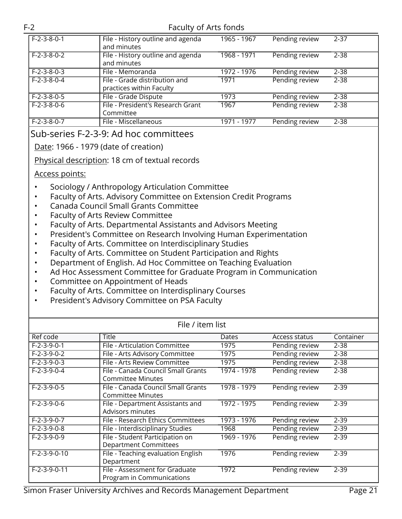| $F-2-3-8-0-1$ | File - History outline and agenda<br>and minutes          | 1965 - 1967 | Pending review | 2-37     |
|---------------|-----------------------------------------------------------|-------------|----------------|----------|
| $F-2-3-8-0-2$ | File - History outline and agenda<br>and minutes          | 1968 - 1971 | Pending review | $2 - 38$ |
| $F-2-3-8-0-3$ | File - Memoranda                                          | 1972 - 1976 | Pending review | 2-38     |
| $F-2-3-8-0-4$ | File - Grade distribution and<br>practices within Faculty | 1971        | Pending review | $2 - 38$ |
| $F-2-3-8-0-5$ | File - Grade Dispute                                      | 1973        | Pending review | $2 - 38$ |
| $F-2-3-8-0-6$ | File - President's Research Grant<br>Committee            | 1967        | Pending review | $2 - 38$ |
| $F-2-3-8-0-7$ | File - Miscellaneous                                      | 1971 - 1977 | Pending review | $2 - 38$ |

Sub-series F-2-3-9: Ad hoc committees

Date: 1966 - 1979 (date of creation)

Physical description: 18 cm of textual records

#### Access points:

- Sociology / Anthropology Articulation Committee
- Faculty of Arts. Advisory Committee on Extension Credit Programs
- Canada Council Small Grants Committee
- Faculty of Arts Review Committee
- Faculty of Arts. Departmental Assistants and Advisors Meeting
- President's Committee on Research Involving Human Experimentation
- Faculty of Arts. Committee on Interdisciplinary Studies
- Faculty of Arts. Committee on Student Participation and Rights
- Department of English. Ad Hoc Committee on Teaching Evaluation
- Ad Hoc Assessment Committee for Graduate Program in Communication
- Committee on Appointment of Heads
- Faculty of Arts. Committee on Interdisplinary Courses
- President's Advisory Committee on PSA Faculty

| File / item list |                                                                 |             |                |           |  |
|------------------|-----------------------------------------------------------------|-------------|----------------|-----------|--|
| Ref code         | <b>Title</b>                                                    | Dates       | Access status  | Container |  |
| $F-2-3-9-0-1$    | File - Articulation Committee                                   | 1975        | Pending review | $2 - 38$  |  |
| $F-2-3-9-0-2$    | File - Arts Advisory Committee                                  | 1975        | Pending review | $2 - 38$  |  |
| $F-2-3-9-0-3$    | File - Arts Review Committee                                    | 1975        | Pending review | $2 - 38$  |  |
| $F-2-3-9-0-4$    | File - Canada Council Small Grants<br><b>Committee Minutes</b>  | 1974 - 1978 | Pending review | $2 - 38$  |  |
| $F-2-3-9-0-5$    | File - Canada Council Small Grants<br><b>Committee Minutes</b>  | 1978 - 1979 | Pending review | $2 - 39$  |  |
| $F-2-3-9-0-6$    | File - Department Assistants and<br>Advisors minutes            | 1972 - 1975 | Pending review | $2 - 39$  |  |
| $F-2-3-9-0-7$    | File - Research Ethics Committees                               | 1973 - 1976 | Pending review | $2 - 39$  |  |
| $F-2-3-9-0-8$    | File - Interdisciplinary Studies                                | 1968        | Pending review | $2 - 39$  |  |
| $F-2-3-9-0-9$    | File - Student Participation on<br><b>Department Committees</b> | 1969 - 1976 | Pending review | $2 - 39$  |  |
| $F-2-3-9-0-10$   | File - Teaching evaluation English<br>Department                | 1976        | Pending review | $2 - 39$  |  |
| $F-2-3-9-0-11$   | File - Assessment for Graduate<br>Program in Communications     | 1972        | Pending review | $2 - 39$  |  |